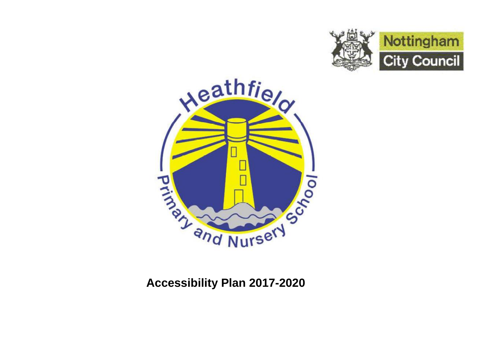



# **Accessibility Plan 2017-2020**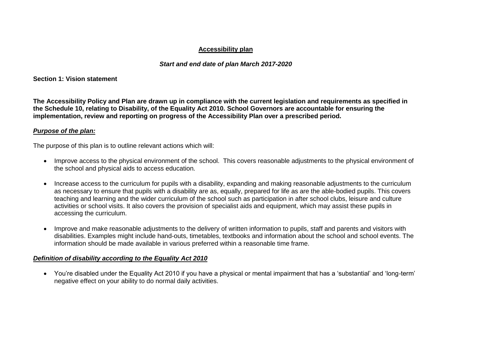#### **Accessibility plan**

#### *Start and end date of plan March 2017-2020*

**Section 1: Vision statement**

**The Accessibility Policy and Plan are drawn up in compliance with the current legislation and requirements as specified in the Schedule 10, relating to Disability, of the Equality Act 2010. School Governors are accountable for ensuring the implementation, review and reporting on progress of the Accessibility Plan over a prescribed period.**

#### *Purpose of the plan:*

The purpose of this plan is to outline relevant actions which will:

- Improve access to the physical environment of the school. This covers reasonable adjustments to the physical environment of the school and physical aids to access education.
- Increase access to the curriculum for pupils with a disability, expanding and making reasonable adjustments to the curriculum as necessary to ensure that pupils with a disability are as, equally, prepared for life as are the able-bodied pupils. This covers teaching and learning and the wider curriculum of the school such as participation in after school clubs, leisure and culture activities or school visits. It also covers the provision of specialist aids and equipment, which may assist these pupils in accessing the curriculum.
- Improve and make reasonable adjustments to the delivery of written information to pupils, staff and parents and visitors with disabilities. Examples might include hand-outs, timetables, textbooks and information about the school and school events. The information should be made available in various preferred within a reasonable time frame.

#### *Definition of disability according to the Equality Act 2010*

 You're disabled under the Equality Act 2010 if you have a physical or mental impairment that has a 'substantial' and 'long-term' negative effect on your ability to do normal daily activities.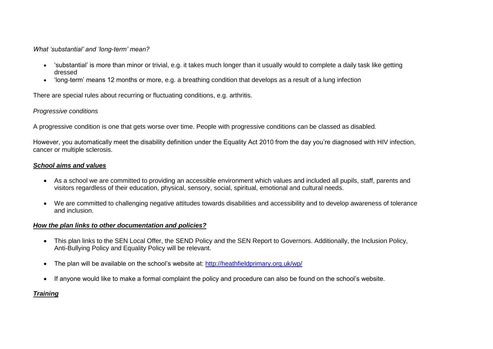*What 'substantial' and 'long-term' mean?*

- 'substantial' is more than minor or trivial, e.g. it takes much longer than it usually would to complete a daily task like getting dressed
- 'long-term' means 12 months or more, e.g. a breathing condition that develops as a result of a lung infection

There are special rules about [recurring or fluctuating conditions,](https://www.gov.uk/government/publications/disability-equality-act-2010-guidance-on-matters-to-be-taken-into-account-in-determining-questions-relating-to-the-definition-of-disability) e.g. arthritis.

### *Progressive conditions*

A progressive condition is one that gets worse over time. People with progressive conditions can be classed as disabled.

However, you automatically meet the disability definition under the Equality Act 2010 from the day you're diagnosed with HIV infection, cancer or multiple sclerosis.

## *School aims and values*

- As a school we are committed to providing an accessible environment which values and included all pupils, staff, parents and visitors regardless of their education, physical, sensory, social, spiritual, emotional and cultural needs.
- We are committed to challenging negative attitudes towards disabilities and accessibility and to develop awareness of tolerance and inclusion.

#### *How the plan links to other documentation and policies?*

- This plan links to the SEN Local Offer, the SEND Policy and the SEN Report to Governors. Additionally, the Inclusion Policy, Anti-Bullying Policy and Equality Policy will be relevant.
- The plan will be available on the school's website at:<http://heathfieldprimary.org.uk/wp/>
- If anyone would like to make a formal complaint the policy and procedure can also be found on the school's website.

# *Training*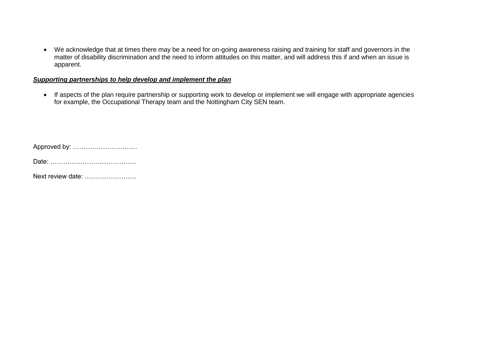We acknowledge that at times there may be a need for on-going awareness raising and training for staff and governors in the matter of disability discrimination and the need to inform attitudes on this matter, and will address this if and when an issue is apparent.

#### *Supporting partnerships to help develop and implement the plan*

 If aspects of the plan require partnership or supporting work to develop or implement we will engage with appropriate agencies for example, the Occupational Therapy team and the Nottingham City SEN team.

| Approved by: |  |  |
|--------------|--|--|
|--------------|--|--|

Date: ………………………………….

Next review date: ……………………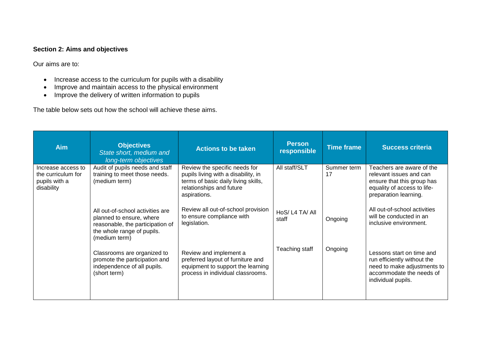#### **Section 2: Aims and objectives**

Our aims are to:

- Increase access to the curriculum for pupils with a disability
- Improve and maintain access to the physical environment
- Improve the delivery of written information to pupils

The table below sets out how the school will achieve these aims.

| <b>Aim</b>                                                              | <b>Objectives</b><br>State short, medium and<br>long-term objectives                                                                            | <b>Actions to be taken</b>                                                                                                                              | <b>Person</b><br>responsible | <b>Time frame</b> | <b>Success criteria</b>                                                                                                                    |
|-------------------------------------------------------------------------|-------------------------------------------------------------------------------------------------------------------------------------------------|---------------------------------------------------------------------------------------------------------------------------------------------------------|------------------------------|-------------------|--------------------------------------------------------------------------------------------------------------------------------------------|
| Increase access to<br>the curriculum for<br>pupils with a<br>disability | Audit of pupils needs and staff<br>training to meet those needs.<br>(medium term)                                                               | Review the specific needs for<br>pupils living with a disability, in<br>terms of basic daily living skills,<br>relationships and future<br>aspirations. | All staff/SLT                | Summer term<br>17 | Teachers are aware of the<br>relevant issues and can<br>ensure that this group has<br>equality of access to life-<br>preparation learning. |
|                                                                         | All out-of-school activities are<br>planned to ensure, where<br>reasonable, the participation of<br>the whole range of pupils.<br>(medium term) | Review all out-of-school provision<br>to ensure compliance with<br>legislation.                                                                         | HoS/L4 TA/All<br>staff       | Ongoing           | All out-of-school activities<br>will be conducted in an<br>inclusive environment.                                                          |
|                                                                         | Classrooms are organized to<br>promote the participation and<br>independence of all pupils.<br>(short term)                                     | Review and implement a<br>preferred layout of furniture and<br>equipment to support the learning<br>process in individual classrooms.                   | Teaching staff               | Ongoing           | Lessons start on time and<br>run efficiently without the<br>need to make adjustments to<br>accommodate the needs of<br>individual pupils.  |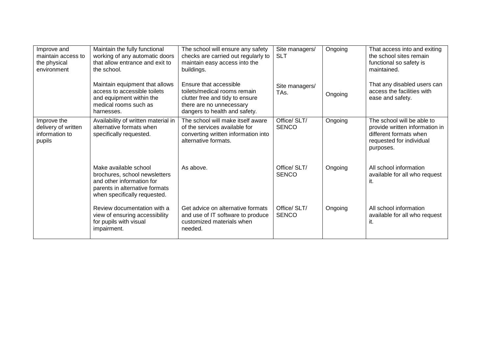| Improve and<br>maintain access to<br>the physical<br>environment | Maintain the fully functional<br>working of any automatic doors<br>that allow entrance and exit to<br>the school.                                     | The school will ensure any safety<br>checks are carried out regularly to<br>maintain easy access into the<br>buildings.                                | Site managers/<br><b>SLT</b> | Ongoing | That access into and exiting<br>the school sites remain<br>functional so safety is<br>maintained.                               |
|------------------------------------------------------------------|-------------------------------------------------------------------------------------------------------------------------------------------------------|--------------------------------------------------------------------------------------------------------------------------------------------------------|------------------------------|---------|---------------------------------------------------------------------------------------------------------------------------------|
|                                                                  | Maintain equipment that allows<br>access to accessible toilets<br>and equipment within the<br>medical rooms such as<br>harnesses.                     | Ensure that accessible<br>toilets/medical rooms remain<br>clutter free and tidy to ensure<br>there are no unnecessary<br>dangers to health and safety. | Site managers/<br>TAs.       | Ongoing | That any disabled users can<br>access the facilities with<br>ease and safety.                                                   |
| Improve the<br>delivery of written<br>information to<br>pupils   | Availability of written material in<br>alternative formats when<br>specifically requested.                                                            | The school will make itself aware<br>of the services available for<br>converting written information into<br>alternative formats.                      | Office/ SLT/<br><b>SENCO</b> | Ongoing | The school will be able to<br>provide written information in<br>different formats when<br>requested for individual<br>purposes. |
|                                                                  | Make available school<br>brochures, school newsletters<br>and other information for<br>parents in alternative formats<br>when specifically requested. | As above.                                                                                                                                              | Office/ SLT/<br><b>SENCO</b> | Ongoing | All school information<br>available for all who request<br>it.                                                                  |
|                                                                  | Review documentation with a<br>view of ensuring accessibility<br>for pupils with visual<br>impairment.                                                | Get advice on alternative formats<br>and use of IT software to produce<br>customized materials when<br>needed.                                         | Office/ SLT/<br><b>SENCO</b> | Ongoing | All school information<br>available for all who request<br>it.                                                                  |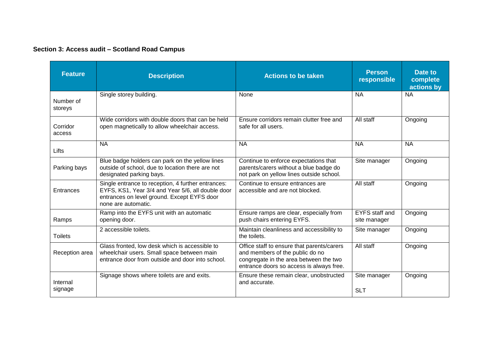## **Section 3: Access audit – Scotland Road Campus**

| <b>Feature</b>       | <b>Description</b>                                                                                                                                                            | <b>Actions to be taken</b>                                                                                                                                          | <b>Person</b><br>responsible          | Date to<br>complete<br>actions by |
|----------------------|-------------------------------------------------------------------------------------------------------------------------------------------------------------------------------|---------------------------------------------------------------------------------------------------------------------------------------------------------------------|---------------------------------------|-----------------------------------|
| Number of<br>storeys | Single storey building.                                                                                                                                                       | None                                                                                                                                                                | <b>NA</b>                             | <b>NA</b>                         |
| Corridor<br>access   | Wide corridors with double doors that can be held<br>open magnetically to allow wheelchair access.                                                                            | Ensure corridors remain clutter free and<br>safe for all users.                                                                                                     | All staff                             | Ongoing                           |
| Lifts                | <b>NA</b>                                                                                                                                                                     | <b>NA</b>                                                                                                                                                           | <b>NA</b>                             | <b>NA</b>                         |
| Parking bays         | Blue badge holders can park on the yellow lines<br>outside of school, due to location there are not<br>designated parking bays.                                               | Continue to enforce expectations that<br>parents/carers without a blue badge do<br>not park on yellow lines outside school.                                         | Site manager                          | Ongoing                           |
| Entrances            | Single entrance to reception, 4 further entrances:<br>EYFS, KS1, Year 3/4 and Year 5/6, all double door<br>entrances on level ground. Except EYFS door<br>none are automatic. | Continue to ensure entrances are<br>accessible and are not blocked.                                                                                                 | All staff                             | Ongoing                           |
| Ramps                | Ramp into the EYFS unit with an automatic<br>opening door.                                                                                                                    | Ensure ramps are clear, especially from<br>push chairs entering EYFS.                                                                                               | <b>EYFS</b> staff and<br>site manager | Ongoing                           |
| <b>Toilets</b>       | 2 accessible toilets.                                                                                                                                                         | Maintain cleanliness and accessibility to<br>the toilets.                                                                                                           | Site manager                          | Ongoing                           |
| Reception area       | Glass fronted, low desk which is accessible to<br>wheelchair users. Small space between main<br>entrance door from outside and door into school.                              | Office staff to ensure that parents/carers<br>and members of the public do no<br>congregate in the area between the two<br>entrance doors so access is always free. | All staff                             | Ongoing                           |
| Internal<br>signage  | Signage shows where toilets are and exits.                                                                                                                                    | Ensure these remain clear, unobstructed<br>and accurate.                                                                                                            | Site manager<br><b>SLT</b>            | Ongoing                           |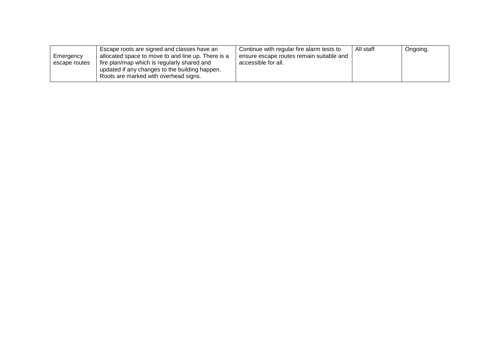|               | Escape roots are signed and classes have an        | Continue with regular fire alarm tests to | All staff | Ongoing. |
|---------------|----------------------------------------------------|-------------------------------------------|-----------|----------|
| Emergency     | allocated space to move to and line up. There is a | ensure escape routes remain suitable and  |           |          |
| escape routes | fire plan/map which is regularly shared and        | accessible for all.                       |           |          |
|               | updated if any changes to the building happen.     |                                           |           |          |
|               | Roots are marked with overhead signs.              |                                           |           |          |